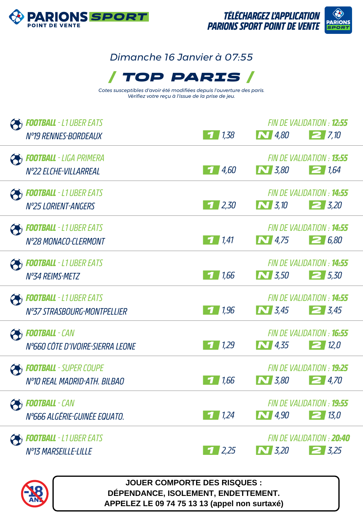

## *Dimanche 16 Janvier à 07:55*



*Cotes susceptibles d'avoir été modifiées depuis l'ouverture des paris. Vérifiez votre reçu à l'issue de la prise de jeu.*

| <b>FOOTBALL</b> - L1 UBER EATS<br>Nº19 RENNES-BORDEAUX        | 71,38              | $\sum$ 4,80      | FIN DE VALIDATION : <b>12:55</b><br>27.10             |
|---------------------------------------------------------------|--------------------|------------------|-------------------------------------------------------|
| <b>FOOTBALL</b> - LIGA PRIMERA<br>N°22 ELCHE-VILLARREAL       | 4,60               | $\sum$ 3,80      | FIN DE VALIDATION : <b>13:55</b><br>21.64             |
| <b>FOOTBALL</b> - L1 UBER EATS<br>Nº25 LORIENT-ANGERS         | 12,30              | $\bigwedge$ 3,10 | FIN DE VALIDATION : <b>14:55</b><br>$2\,$ 3,20        |
| <b>FOOTBALL</b> - L1 UBER EATS<br>N°28 MONACO-CLERMONT        | $\frac{1}{141}$    | $\boxed{N}$ 4,75 | FIN DE VALIDATION : <b>14:55</b><br>26,80             |
| <b>FOOTBALL</b> - L1 UBER EATS<br>Nº34 REIMS-METZ             | 1,66<br>-7         | $\sim$ 3.50      | FIN DE VALIDATION : 14:55<br>$2\,5.30$                |
| <b>FOOTBALL</b> - L1 UBER EATS<br>N°37 STRASBOURG-MONTPELLIER | 1,96               | $\sum$ 3.45      | FIN DE VALIDATION : <b>14:55</b><br>$\mathbf{Z}$ 3.45 |
| <b>PED FOOTBALL</b> - CAN<br>N°660 CÔTE D'IVOIRE-SIERRA LEONE | 1,29               | <b>N</b> 4,35    | FIN DE VALIDATION : <b>16:55</b><br>$\geq$ 12,0       |
| <b>FOOTBALL</b> - SUPER COUPE<br>N°10 REAL MADRID-ATH. BILBAO | 1,66               | $\bf N$ 3,80     | <b>FIN DE VAI IDATION : 19:25</b><br>24,70            |
| <b>Football</b> - Can<br>N°666 ALGÉRIE-GUINÉE EQUATO.         | 71,24              | $\sum$ 4,90      | FIN DE VALIDATION : <b>19:55</b><br>$\boxed{2}$ 13,0  |
| <b>FOOTBALL</b> - L1 UBER EATS<br><b>N°13 MARSEILLE-LILLE</b> | $\frac{1}{2}$ 2,25 | $\sim$ 3,20      | FIN DE VALIDATION : 20:40<br>$2 \frac{3}{25}$         |



**JOUER COMPORTE DES RISQUES : DÉPENDANCE, ISOLEMENT, ENDETTEMENT. APPELEZ LE 09 74 75 13 13 (appel non surtaxé)**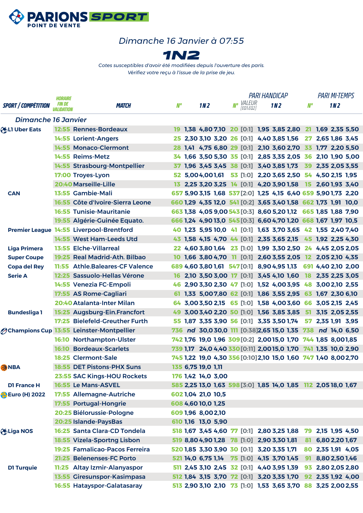

## *Dimanche 16 Janvier à 07:55*



*Cotes susceptibles d'avoir été modifiées depuis l'ouverture des paris. Vérifiez votre reçu à l'issue de la prise de jeu.*

| <b>SPORT / COMPÉTITION</b><br><b>Dimanche 16 Janvier</b><br><b>OBLI Uber Eats</b> | HORAIRE<br><i>FIN DE</i><br><i>VALIDATION</i> | <b>MATCH</b><br>12:55 Rennes-Bordeaux<br>14:55 Lorient-Angers<br>14:55 Monaco-Clermont | N°   | 1N <sub>2</sub>    |                    | No VALEUR<br>EQ1:EQ21                                           | 1N <sub>2</sub> | N° |                   | 1M <sub>2</sub> |  |
|-----------------------------------------------------------------------------------|-----------------------------------------------|----------------------------------------------------------------------------------------|------|--------------------|--------------------|-----------------------------------------------------------------|-----------------|----|-------------------|-----------------|--|
|                                                                                   |                                               |                                                                                        |      |                    |                    |                                                                 |                 |    |                   |                 |  |
|                                                                                   |                                               |                                                                                        |      |                    |                    |                                                                 |                 |    |                   |                 |  |
|                                                                                   |                                               |                                                                                        |      |                    |                    | 19 1,38 4,80 7,10 20 [0:1] 1,95 3,85 2,80 21 1,69 2,35 5,50     |                 |    |                   |                 |  |
|                                                                                   |                                               |                                                                                        |      |                    |                    | 25 2,30 3,10 3,20 26 [0:1] 4,40 3,85 1,56                       |                 | 27 | 2,65 1,86 3,45    |                 |  |
|                                                                                   |                                               |                                                                                        |      |                    |                    | 28 1,41 4,75 6,80 29 [0:1] 2,10 3,60 2,70 33 1,77 2,20 5,50     |                 |    |                   |                 |  |
|                                                                                   |                                               | 14:55 Reims-Metz                                                                       |      |                    |                    | 34 1,66 3,50 5,30 35 [0:1] 2,85 3,35 2,05 36 2,10 1,90 5,00     |                 |    |                   |                 |  |
|                                                                                   |                                               | 14:55 Strasbourg-Montpellier                                                           |      |                    |                    | 37 1,96 3,45 3,45 38 [0:1] 3,40 3,85 1,73 39 2,35 2,05 3,55     |                 |    |                   |                 |  |
|                                                                                   |                                               | 17:00 Troyes-Lyon                                                                      |      |                    |                    | 52 5,004,001,61 53 [1:0] 2,20 3,65 2,50 54 4,50 2,15 1,95       |                 |    |                   |                 |  |
|                                                                                   |                                               | 20:40 Marseille-Lille                                                                  | 13 - |                    |                    | 2,25 3,20 3,25 14 [0:1] 4,20 3,90 1,58 15 2,60 1,93 3,40        |                 |    |                   |                 |  |
| <b>CAN</b>                                                                        |                                               | 13:55 Gambie-Mali                                                                      |      |                    |                    | 657 5,90 3,15 1,68 537 [2:0] 1,25 4,15 6,40 659 5,90 1,73 2,20  |                 |    |                   |                 |  |
|                                                                                   |                                               | 16:55 Côte d'Ivoire-Sierra Leone                                                       |      |                    |                    | 660 1,29 4,35 12,0 541 [0:2] 3,65 3,40 1,58 662 1,73 1,91 10,0  |                 |    |                   |                 |  |
|                                                                                   |                                               | <b>16:55 Tunisie-Mauritanie</b>                                                        |      |                    |                    | 663 1,38 4,05 9,00 543 [0:3] 8,60 5,20 1,12 665 1,85 1,88 7,90  |                 |    |                   |                 |  |
|                                                                                   |                                               | 19:55 Algérie-Guinée Equato.                                                           |      |                    |                    | 666 1,24 4,90 13,0 545 [0:3] 6,60 4,70 1,20 668 1,67 1,97 10,5  |                 |    |                   |                 |  |
|                                                                                   |                                               | Premier League 14:55 Liverpool-Brentford                                               |      |                    |                    | 40 1,23 5,95 10,0 41 [0:1] 1,63 3,70 3,65 42 1,55 2,40 7,40     |                 |    |                   |                 |  |
|                                                                                   |                                               | 14:55 West Ham-Leeds Utd                                                               |      |                    |                    | 43 1,58 4,15 4,70 44 [0:1] 2,35 3,65 2,15 45 1,92 2,25 4,30     |                 |    |                   |                 |  |
| <b>Liga Primera</b>                                                               |                                               | <b>13:55 Elche-Villarreal</b>                                                          |      |                    |                    | 22 4,60 3,80 1,64 23 [1:0] 1,99 3,30 2,50 24 4,45 2,05 2,05     |                 |    |                   |                 |  |
| <b>Super Coupe</b>                                                                |                                               | 19:25 Real Madrid-Ath. Bilbao                                                          |      |                    |                    | 10 1,66 3,80 4,70 11 [0:1] 2,60 3,55 2,05 12 2,05 2,10 4,35     |                 |    |                   |                 |  |
| <b>Copa del Rey</b>                                                               | 11:55                                         | <b>Athle.Baleares-CF Valence</b>                                                       |      |                    |                    | 689 4,60 3,80 1,61 547 [0:1] 8,90 4,95 1,13 691 4,40 2,10 2,00  |                 |    |                   |                 |  |
| <b>Serie A</b>                                                                    |                                               | 12:25 Sassuolo-Hellas Vérone                                                           | 16   |                    |                    | 2,10 3,50 3,00 17 [0:1] 3,45 4,10 1,60 18 2,35 2,25 3,05        |                 |    |                   |                 |  |
|                                                                                   |                                               | 14:55 Venezia FC-Empoli                                                                |      |                    |                    | 46 2,90 3,30 2,30 47 [1:0] 1,52 4,00 3,95 48 3,00 2,10 2,55     |                 |    |                   |                 |  |
|                                                                                   |                                               | 17:55 AS Rome-Cagliari                                                                 |      |                    |                    | 61 1,33 5,007,80 62 [0:1] 1,86 3,55 2,95 63 1,67 2,30 6,10      |                 |    |                   |                 |  |
|                                                                                   |                                               | 20:40 Atalanta-Inter Milan                                                             | 64   |                    |                    | 3,003,502,15 65 [1:0] 1,58 4,003,60 66 3,052,15 2,45            |                 |    |                   |                 |  |
| <b>Bundesliga1</b>                                                                |                                               | 15:25 Augsburg-Ein.Francfort                                                           | 49.  |                    |                    | 3,00 3,40 2,20 50 [1:0] 1,56 3,85 3,85 51                       |                 |    | 3,15 2,05 2,55    |                 |  |
|                                                                                   |                                               | 17:25 Bielefeld-Greuther Furth                                                         |      |                    |                    | 55 1,87 3,35 3,90 56 [0:1] 3,35 3,50 1,74                       |                 |    | 57 2,35 1,91 3,95 |                 |  |
|                                                                                   |                                               | <b>Ochampions Cup 13:55 Leinster-Montpellier</b>                                       |      |                    |                    | 736 nd 30,030,0 111 [0:38]2,65 15,0 1,35 738 nd 14,0 6,50       |                 |    |                   |                 |  |
|                                                                                   | 16:10                                         | <b>Northampton-Ulster</b>                                                              |      |                    |                    | 742 1,76 19,0 1,96 309 [0:2] 2,0015,0 1,70 744 1,85 8,001,85    |                 |    |                   |                 |  |
|                                                                                   |                                               | <b>16:10 Bordeaux-Scarlets</b>                                                         |      |                    |                    | 739 1,17 24,0 4,40 330 [0:11] 2,00 15,0 1,70 741 1,35 10,0 2,90 |                 |    |                   |                 |  |
|                                                                                   |                                               | 18:25 Clermont-Sale                                                                    |      |                    |                    | 745 1,22 19,0 4,30 356 [0:10] 2,10 15,0 1,60 747 1,40 8,002,70  |                 |    |                   |                 |  |
| <b>ANBA</b>                                                                       |                                               | 18:55 DET Pistons-PHX Suns                                                             |      | 135 6,75 19,0 1,11 |                    |                                                                 |                 |    |                   |                 |  |
|                                                                                   |                                               | 23:55 SAC Kings-HOU Rockets                                                            |      |                    | 176 1,42 14,0 3,00 |                                                                 |                 |    |                   |                 |  |
| <b>D1 France H</b>                                                                |                                               | 16:55 Le Mans-ASVEL                                                                    |      |                    |                    | 585 2,25 13,0 1,63 598 [3:0] 1,85 14,0 1,85 112 2,05 18,0 1,67  |                 |    |                   |                 |  |
| <b>B</b> Euro (H) 2022                                                            |                                               | 17:55 Allemagne-Autriche                                                               |      |                    | 602 1,04 21,0 10,5 |                                                                 |                 |    |                   |                 |  |
|                                                                                   |                                               | 17:55 Portugal-Hongrie                                                                 |      |                    | 608 4,60 10,0 1,25 |                                                                 |                 |    |                   |                 |  |
|                                                                                   |                                               | 20:25 Biélorussie-Pologne                                                              |      |                    | 609 1,96 8,00 2,10 |                                                                 |                 |    |                   |                 |  |
|                                                                                   |                                               | 20:25 Islande-PaysBas                                                                  |      |                    | 610 1,16 13,0 5,90 |                                                                 |                 |    |                   |                 |  |
| <b>O</b> Liga NOS                                                                 |                                               | 16:25 Santa Clara-CD Tondela                                                           |      |                    |                    | 518 1,67 3,45 4,60 77 [0:1] 2,80 3,25 1,88 79 2,15 1,95 4,50    |                 |    |                   |                 |  |
|                                                                                   |                                               | 18:55 Vizela-Sportng Lisbon                                                            |      |                    |                    | 519 8,80 4,90 1,28 78 [1:0] 2,90 3,30 1,81                      |                 | 81 | 6,80 2,20 1,67    |                 |  |
|                                                                                   |                                               | 19:25 Famalicao-Pacos Ferreira                                                         |      |                    |                    | 520 1,85 3,30 3,90 30 [0:1] 3,20 3,35 1,71                      |                 |    | 80 2,35 1,91 4,05 |                 |  |
|                                                                                   |                                               | 21:25 Belenenses-FC Porto                                                              |      |                    |                    | 521 14,0 6,75 1,14 75 [1:0] 4,15 3,70 1,45                      |                 | 91 | 8,80 2,50 1,46    |                 |  |
| <b>D1 Turquie</b>                                                                 |                                               | 11:25 Altay Izmir-Alanyaspor                                                           |      |                    |                    | 511 2,45 3,10 2,45 32 [0:1] 4,40 3,95 1,39 93 2,80 2,05 2,80    |                 |    |                   |                 |  |
|                                                                                   |                                               | 13:55 Giresunspor-Kasimpasa                                                            |      |                    |                    | 512 1,84 3,15 3,70 72 [0:1] 3,20 3,35 1,70 92 2,35 1,92 4,00    |                 |    |                   |                 |  |
|                                                                                   |                                               | 16:55 Hatayspor-Galatasaray                                                            |      |                    |                    | 513 2,90 3,10 2,10 73 [1:0] 1,53 3,65 3,70 88 3,25 2,00 2,55    |                 |    |                   |                 |  |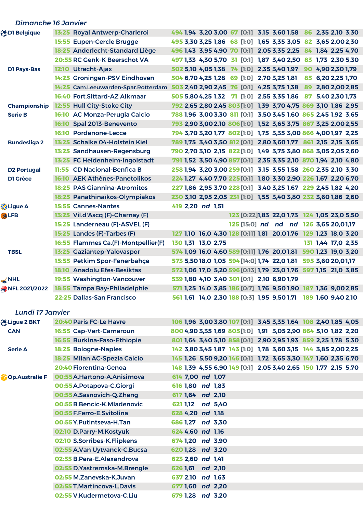| <b>Dimanche 16 Janvier</b> |                                                                                                  |                                                                 |                                             |
|----------------------------|--------------------------------------------------------------------------------------------------|-----------------------------------------------------------------|---------------------------------------------|
| <b>ODI Belgique</b>        | 13:25 Royal Antwerp-Charleroi                                                                    | 494 1,94 3,20 3,00 67 [0:1] 3,15 3,60 1,58 86 2,35 2,10 3,30    |                                             |
|                            | 15:55 Eupen-Cercle Brugge                                                                        | 495 3,30 3,25 1,86 68 [1:0] 1,65 3,35 3,05 82 3,65 2,00 2,30    |                                             |
|                            | 18:25 Anderlecht-Standard Liège                                                                  | 496 1,43 3,95 4,90 70 [0:1] 2,05 3,35 2,25 84 1,84 2,25 4,70    |                                             |
|                            | 20:55 RC Genk-K Beerschot VA                                                                     | 497 1,33 4,30 5,70 31 [0:1] 1,87 3,40 2,50 83 1,73 2,30 5,30    |                                             |
| <b>D1 Pays-Bas</b>         | 12:10 Utrecht-Ajax                                                                               | 502 5,10 4,05 1,38 74 [1:0] 2,35 3,40 1,97 90 4,90 2,30 1,79    |                                             |
|                            | 14:25 Groningen-PSV Eindhoven                                                                    | 504 6,70 4,25 1,28 69 [1:0] 2,70 3,25 1,81                      | 85 6,20 2,25 1,70                           |
|                            | 14:25 Cam.Leeuwarden-Spar.Rotterdam 503 2,40 2,90 2,45 76 [0:1] 4,25 3,75 1,38 89 2,80 2,00 2,85 |                                                                 |                                             |
|                            | 16:40 Fort.Sittard-AZ Alkmaar                                                                    | 505 5,80 4,25 1,32 7 [1:0] 2,55 3,35 1,86 87 5,40 2,30 1,73     |                                             |
| <b>Championship</b>        | 12:55 Hull City-Stoke City                                                                       | 792 2,65 2,80 2,45 803 [1:0] 1,39 3,70 4,75 869 3,10 1,86 2,95  |                                             |
| <b>Serie B</b>             | 16:10 AC Monza-Perugia Calcio                                                                    | 788 1,96 3,00 3,30 811 [0:1] 3,50 3,45 1,60 865 2,45 1,92 3,65  |                                             |
|                            | Spal 2013-Benevento<br>16:10                                                                     | 793 2,90 3,00 2,10 806 [1:0] 1,52 3,65 3,75 867 3,25 2,00 2,55  |                                             |
|                            | 16:10 Pordenone-Lecce                                                                            | 794 3,70 3,20 1,77 802 [1:0] 1,75 3,35 3,00 866 4,001,97 2,25   |                                             |
| <b>Bundesliga 2</b>        | 13:25 Schalke 04-Holstein Kiel                                                                   | 789 1,75 3,40 3,50 812 [0:1] 2,80 3,60 1,77 861 2,15 2,15 3,65  |                                             |
|                            | 13:25 Sandhausen-Regensburg                                                                      | 790 2,70 3,10 2,15 822 [1:0] 1,49 3,75 3,80 868 3,05 2,05 2,60  |                                             |
|                            | 13:25 FC Heidenheim-Ingolstadt                                                                   | 791 1,52 3,50 4,90 857 [0:1] 2,35 3,35 2,10 870 1,94 2,10 4,80  |                                             |
| <b>D2 Portugal</b>         | 11:55 CD Nacional-Benfica B                                                                      | 258 1,94 3,20 3,00 259 [0:1] 3,15 3,55 1,58 260 2,35 2,10 3,30  |                                             |
| <b>D1 Grèce</b>            | 16:10 AEK Athènes-Panetolikos                                                                    | 224 1,27 4,40 7,70 225 [0:1] 1,80 3,30 2,90 226 1,67 2,20 6,70  |                                             |
|                            | <b>18:25 PAS Giannina-Atromitos</b>                                                              | 227 1,86 2,95 3,70 228 [0:1] 3,40 3,25 1,67 229 2,45 1,82 4,20  |                                             |
|                            | 18:25 Panathinaïkos-Olympiakos                                                                   | 230 3,10 2,95 2,05 231 [1:0] 1,55 3,40 3,80 232 3,60 1,86 2,60  |                                             |
| <b>Z</b> Ligue A           | <b>15:55 Cannes-Nantes</b>                                                                       | 419 2,20 nd 1,51                                                |                                             |
| 分LFB                       | 13:25 Vil.d'Ascq (F)-Charnay (F)                                                                 |                                                                 | 123 [0:22]1,83 22,0 1,73 124 1,05 23,0 5,50 |
|                            | 15:25 Landerneau (F)-ASVEL (F)                                                                   |                                                                 | 125 [15:0] nd nd nd 126 3,65 20,01,17       |
|                            | 15:25 Landes (F)-Tarbes (F)                                                                      | 127 1,10 16,0 4,30 128 [0:11] 1,81 20,01,76 129 1,23 18,0 3,20  |                                             |
|                            | 16:55 Flammes Ca.(F)-Montpellier(F)                                                              | 130 1,31 13,0 2,75                                              | 131 1,44 17,0 2,35                          |
| <b>TBSL</b>                | 13:25 Gaziantep-Yalovaspor                                                                       | 574 1,09 16,0 4,60 589 [0:11] 1,76 20,01,81 590 1,23 19,0 3,20  |                                             |
|                            | 15:55 Petkim Spor-Fenerbahce                                                                     | 573 5,50 18,0 1,05 594 [14:0] 1,74 22,0 1,81 595 3,60 20,01,17  |                                             |
|                            | 18:10 Anadolu Efes-Besiktas                                                                      | 572 1,06 17,0 5,20 596 [0:13] 1,79 23,0 1,76 597 1,15 21,0 3,85 |                                             |
| $\leq$ NHL                 | 19:55 Washington-Vancouver                                                                       | 539 1,80 4,10 3,40 301 [0:1] 2,10 6,90 1,79                     |                                             |
| C NFL 2021/2022            | 18:55 Tampa Bay-Philadelphie                                                                     | 571 1,25 14,0 3,85 186 [0:7] 1,76 9,50 1,90 187 1,36 9,002,85   |                                             |
|                            | 22:25 Dallas-San Francisco                                                                       | 561 1,61 14,0 2,30 188 [0:3] 1,95 9,50 1,71 189 1,60 9,40 2,10  |                                             |
|                            |                                                                                                  |                                                                 |                                             |
| <b>Lundi 17 Janvier</b>    |                                                                                                  |                                                                 |                                             |
| b Ligue 2 BKT              | 20:40 Paris FC-Le Havre                                                                          | 106 1,96 3,00 3,80 107 [0:1] 3,45 3,35 1,64 108 2,40 1,85 4,05  |                                             |
| <b>CAN</b>                 | 16:55 Cap-Vert-Cameroun                                                                          | 800 4,90 3,35 1,69 805 [1:0] 1,91 3,05 2,90 864 5,10 1,82 2,20  |                                             |
|                            | 16:55 Burkina-Faso-Ethiopie                                                                      | 801 1,64 3,40 5,10 858 [0:1] 2,90 2,95 1,93 859 2,25 1,78 5,30  |                                             |
| <b>Serie A</b>             | 18:25 Bologne-Naples                                                                             | 142 3,80 3,45 1,87 143 [1:0] 1,78 3,60 3,15 144 3,85 2,00 2,25  |                                             |
|                            | 18:25 Milan AC-Spezia Calcio                                                                     | 145 1,26 5,50 9,20 146 [0:1] 1,72 3,65 3,30 147 1,60 2,35 6,70  |                                             |
|                            | 20:40 Fiorentina-Genoa                                                                           | 148 1,39 4,55 6,90 149 [0:1] 2,05 3,40 2,65 150 1,77 2,15 5,70  |                                             |
| <b>Op.Australie F</b>      | 00:55 A.Hartono-A.Anisimova                                                                      | 614 7,00 nd 1,07                                                |                                             |
|                            | 00:55 A. Potapova-C. Giorgi                                                                      | 616 1,80 nd 1,83                                                |                                             |
|                            | 00:55 A.Sasnovich-Q.Zheng                                                                        | 617 1,64 nd 2,10                                                |                                             |
|                            | 00:55 B.Bencic-K.Mladenovic                                                                      | 621 1,12 nd 5,40                                                |                                             |
|                            | 00:55 F. Ferro-E. Svitolina                                                                      | 628 4,20 nd 1,18                                                |                                             |
|                            | 00:55 Y. Put intseva-H. Tan                                                                      | 686 1,27 nd 3,30                                                |                                             |
|                            | 02:10 D.Parry-M.Kostyuk                                                                          | 624 4,60 nd 1,16                                                |                                             |
|                            | 02:10 S.Sorribes-K.Flipkens                                                                      | 674 1,20 nd 3,90                                                |                                             |
|                            | 02:55 A.Van Uytvanck-C.Bucsa                                                                     | 620 1,28 nd 3,20                                                |                                             |
|                            | 02:55 B.Pera-E.Alexandrova                                                                       | 623 2,60 nd 1,41                                                |                                             |
|                            | 02:55 D.Yastremska-M.Brengle                                                                     | 626 1,61 nd 2,10                                                |                                             |
|                            | 02:55 M.Zanevska-K.Juvan                                                                         | 637 2,10 nd 1,63                                                |                                             |
|                            | 02:55 T.Martincova-L.Davis                                                                       | 677 1,60 nd 2,20                                                |                                             |
|                            | 02:55 V.Kudermetova-C.Liu                                                                        | 679 1,28 nd 3,20                                                |                                             |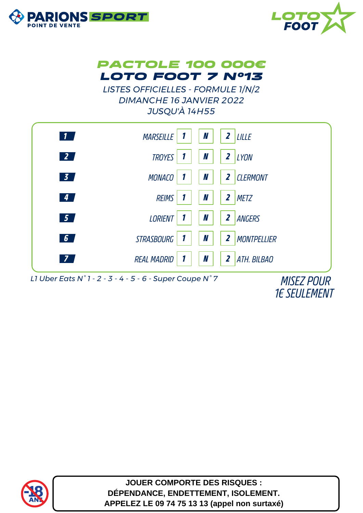





*LISTES OFFICIELLES - FORMULE 1/N/2 DIMANCHE 16 JANVIER 2022 JUSQU'À 14H55*



*1€ SEULEMENT*



**JOUER COMPORTE DES RISQUES : DÉPENDANCE, ENDETTEMENT, ISOLEMENT. APPELEZ LE 09 74 75 13 13 (appel non surtaxé)**